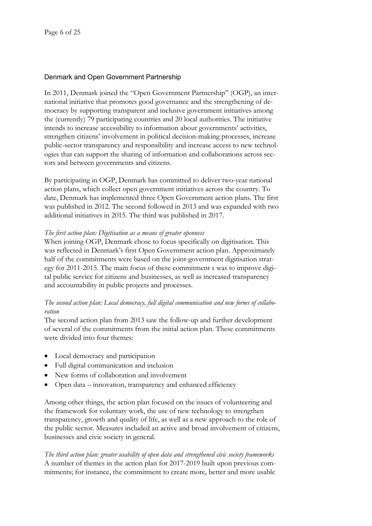# Denmark and Open Government Partnership

In 2011, Denmark joined the "Open Government Partnership" (OGP), an international initiative that promotes good governance and the strengthening of democracy by supporting transparent and inclusive government initiatives among the (currently) 79 participating countries and 20 local authorities. The initiative intends to increase accessibility to information about governments' activities, strengthen citizens' involvement in political decision-making processes, increase public-sector transparency and responsibility and increase access to new technologies that can support the sharing of information and collaborations across sectors and between governments and citizens.

By participating in OGP, Denmark has committed to deliver two-year national action plans, which collect open government initiatives across the country. To date, Denmark has implemented three Open Government action plans. The first was published in 2012. The second followed in 2013 and was expanded with two additional initiatives in 2015. The third was published in 2017.

### *The first action plan: Digitisation as a means of greater openness*

When joining OGP, Denmark chose to focus specifically on digitisation. This was reflected in Denmark's first Open Government action plan. Approximately half of the commitments were based on the joint-government digitisation strategy for 2011-2015. The main focus of these commitment s was to improve digital public service for citizens and businesses, as well as increased transparency and accountability in public projects and processes.

# *The second action plan: Local democracy, full digital communication and new forms of collaboration*

The second action plan from 2013 saw the follow-up and further development of several of the commitments from the initial action plan. These commitments were divided into four themes:

- Local democracy and participation
- Full digital communication and inclusion
- New forms of collaboration and involvement
- Open data innovation, transparency and enhanced efficiency

Among other things, the action plan focused on the issues of volunteering and the framework for voluntary work, the use of new technology to strengthen transparency, growth and quality of life, as well as a new approach to the role of the public sector. Measures included an active and broad involvement of citizens, businesses and civic society in general.

*The third action plan: greater usability of open data and strengthened civic society frameworks* A number of themes in the action plan for 2017-2019 built upon previous commitments; for instance, the commitment to create more, better and more usable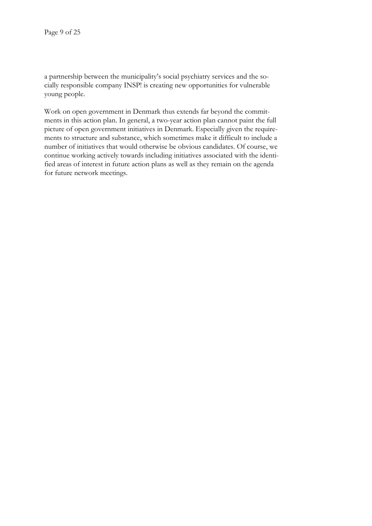a partnership between the municipality's social psychiatry services and the socially responsible company INSP! is creating new opportunities for vulnerable young people.

Work on open government in Denmark thus extends far beyond the commitments in this action plan. In general, a two-year action plan cannot paint the full picture of open government initiatives in Denmark. Especially given the requirements to structure and substance, which sometimes make it difficult to include a number of initiatives that would otherwise be obvious candidates. Of course, we continue working actively towards including initiatives associated with the identified areas of interest in future action plans as well as they remain on the agenda for future network meetings.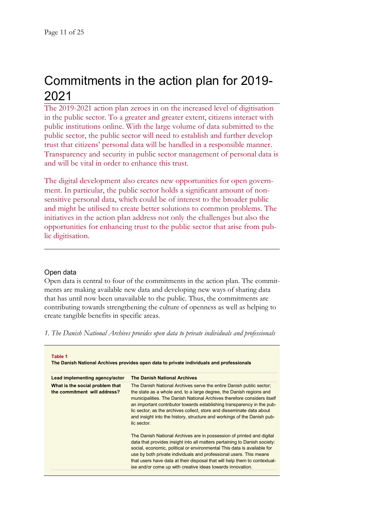# Commitments in the action plan for 2019-2022

The 2019-2022 action plan zeroes in on the increased level of digitisation in the public sector. To a greater and greater extent, citizens interact with public institutions online. With the large volume of data submitted to the public sector, the public sector will need to establish and further develop trust that citizens' personal data will be handled in a responsible manner. Transparency and security in public sector management of personal data is and will be vital in order to enhance this trust.

The digital development also creates new opportunities for open government. In particular, the public sector holds a significant amount of nonsensitive personal data, which could be of interest to the broader public and might be utilised to create better solutions to common problems. The initiatives in the action plan address not only the challenges but also the opportunities for enhancing trust to the public sector that arise from public digitisation.

# Open data

Open data is central to four of the commitments in the action plan. The commitments are making available new data and developing new ways of sharing data that has until now been unavailable to the public. Thus, the commitments are contributing towards strengthening the culture of openness as well as helping to create tangible benefits in specific areas.

*1. The Danish National Archives provides open data to private individuals and professionals*

| Lead implementing agency/actor                                  | <b>The Danish National Archives</b>                                                                                                                                                                                                                                                                                                                                                                                                                               |
|-----------------------------------------------------------------|-------------------------------------------------------------------------------------------------------------------------------------------------------------------------------------------------------------------------------------------------------------------------------------------------------------------------------------------------------------------------------------------------------------------------------------------------------------------|
| What is the social problem that<br>the commitment will address? | The Danish National Archives serve the entire Danish public sector;<br>the state as a whole and, to a large degree, the Danish regions and<br>municipalities. The Danish National Archives therefore considers itself<br>an important contributor towards establishing transparency in the pub-<br>lic sector, as the archives collect, store and disseminate data about<br>and insight into the history, structure and workings of the Danish pub-<br>lic sector |
|                                                                 | The Danish National Archives are in possession of printed and digital<br>data that provides insight into all matters pertaining to Danish society:<br>social, economic, political or environmental This data is available for<br>use by both private individuals and professional users. This means<br>that users have data at their disposal that will help them to contextual-<br>ise and/or come up with creative ideas towards innovation.                    |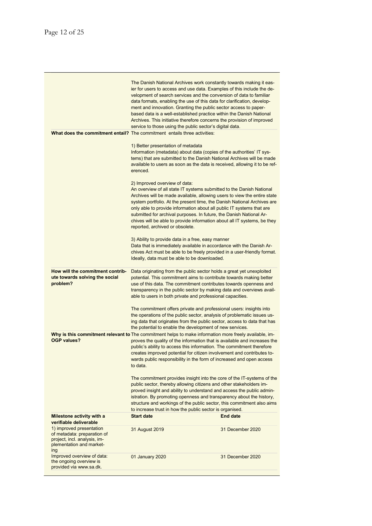|                                                                                                                            | The Danish National Archives work constantly towards making it eas-<br>ier for users to access and use data. Examples of this include the de-<br>velopment of search services and the conversion of data to familiar<br>data formats, enabling the use of this data for clarification, develop-<br>ment and innovation. Granting the public sector access to paper-<br>based data is a well-established practice within the Danish National<br>Archives. This initiative therefore concerns the provision of improved<br>service to those using the public sector's digital data.<br>What does the commitment entail? The commitment entails three activities: |                  |
|----------------------------------------------------------------------------------------------------------------------------|----------------------------------------------------------------------------------------------------------------------------------------------------------------------------------------------------------------------------------------------------------------------------------------------------------------------------------------------------------------------------------------------------------------------------------------------------------------------------------------------------------------------------------------------------------------------------------------------------------------------------------------------------------------|------------------|
|                                                                                                                            | 1) Better presentation of metadata<br>Information (metadata) about data (copies of the authorities' IT sys-<br>tems) that are submitted to the Danish National Archives will be made<br>available to users as soon as the data is received, allowing it to be ref-<br>erenced.                                                                                                                                                                                                                                                                                                                                                                                 |                  |
|                                                                                                                            | 2) Improved overview of data:<br>An overview of all state IT systems submitted to the Danish National<br>Archives will be made available, allowing users to view the entire state<br>system portfolio. At the present time, the Danish National Archives are<br>only able to provide information about all public IT systems that are<br>submitted for archival purposes. In future, the Danish National Ar-<br>chives will be able to provide information about all IT systems, be they<br>reported, archived or obsolete.                                                                                                                                    |                  |
|                                                                                                                            | 3) Ability to provide data in a free, easy manner<br>Data that is immediately available in accordance with the Danish Ar-<br>chives Act must be able to be freely provided in a user-friendly format.<br>Ideally, data must be able to be downloaded.                                                                                                                                                                                                                                                                                                                                                                                                          |                  |
| How will the commitment contrib-<br>ute towards solving the social<br>problem?                                             | Data originating from the public sector holds a great yet unexploited<br>potential. This commitment aims to contribute towards making better<br>use of this data. The commitment contributes towards openness and<br>transparency in the public sector by making data and overviews avail-<br>able to users in both private and professional capacities.                                                                                                                                                                                                                                                                                                       |                  |
|                                                                                                                            | The commitment offers private and professional users: insights into<br>the operations of the public sector, analysis of problematic issues us-<br>ing data that originates from the public sector, access to data that has<br>the potential to enable the development of new services.                                                                                                                                                                                                                                                                                                                                                                         |                  |
| <b>OGP values?</b>                                                                                                         | Why is this commitment relevant to The commitment helps to make information more freely available, im-<br>proves the quality of the information that is available and increases the<br>public's ability to access this information. The commitment therefore<br>creates improved potential for citizen involvement and contributes to-<br>wards public responsibility in the form of increased and open access<br>to data.                                                                                                                                                                                                                                     |                  |
|                                                                                                                            | The commitment provides insight into the core of the IT-systems of the<br>public sector, thereby allowing citizens and other stakeholders im-<br>proved insight and ability to understand and access the public admin-<br>istration. By promoting openness and transparency about the history,<br>structure and workings of the public sector, this commitment also aims<br>to increase trust in how the public sector is organised.                                                                                                                                                                                                                           |                  |
| Milestone activity with a<br>verifiable deliverable                                                                        | <b>Start date</b>                                                                                                                                                                                                                                                                                                                                                                                                                                                                                                                                                                                                                                              | <b>End date</b>  |
| 1) improved presentation<br>of metadata: preparation of<br>project, incl. analysis, im-<br>plementation and market-<br>ing | 31 August 2019                                                                                                                                                                                                                                                                                                                                                                                                                                                                                                                                                                                                                                                 | 31 December 2020 |
| Improved overview of data:<br>the ongoing overview is<br>provided via www.sa.dk.                                           | 01 January 2020                                                                                                                                                                                                                                                                                                                                                                                                                                                                                                                                                                                                                                                | 31 December 2020 |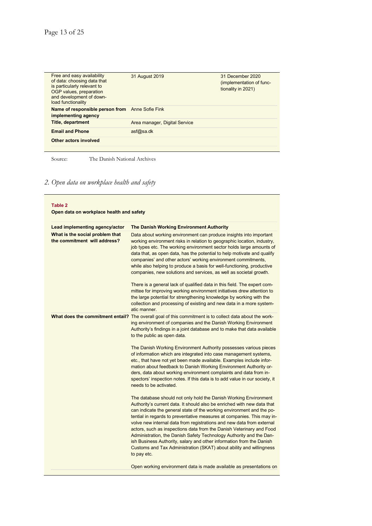| Free and easy availability<br>of data: choosing data that<br>is particularly relevant to<br>OGP values, preparation<br>and development of down-<br>load functionality | 31 August 2019                | 31 December 2020<br>(implementation of func-<br>tionality in 2021) |
|-----------------------------------------------------------------------------------------------------------------------------------------------------------------------|-------------------------------|--------------------------------------------------------------------|
| Name of responsible person from Anne Sofie Fink<br>implementing agency                                                                                                |                               |                                                                    |
| <b>Title, department</b>                                                                                                                                              | Area manager, Digital Service |                                                                    |
| <b>Email and Phone</b>                                                                                                                                                | asf@sa.dk                     |                                                                    |
| Other actors involved                                                                                                                                                 |                               |                                                                    |

Source: The Danish National Archives

# *2. Open data on workplace health and safety*

| Table 2<br>Open data on workplace health and safety             |                                                                                                                                                                                                                                                                                                                                                                                                                                                                                                                                                                                                                                                                                      |  |
|-----------------------------------------------------------------|--------------------------------------------------------------------------------------------------------------------------------------------------------------------------------------------------------------------------------------------------------------------------------------------------------------------------------------------------------------------------------------------------------------------------------------------------------------------------------------------------------------------------------------------------------------------------------------------------------------------------------------------------------------------------------------|--|
| Lead implementing agency/actor                                  | <b>The Danish Working Environment Authority</b>                                                                                                                                                                                                                                                                                                                                                                                                                                                                                                                                                                                                                                      |  |
| What is the social problem that<br>the commitment will address? | Data about working environment can produce insights into important<br>working environment risks in relation to geographic location, industry,<br>job types etc. The working environment sector holds large amounts of<br>data that, as open data, has the potential to help motivate and qualify<br>companies' and other actors' working environment commitments,<br>while also helping to produce a basis for well-functioning, productive<br>companies, new solutions and services, as well as societal growth.                                                                                                                                                                    |  |
|                                                                 | There is a general lack of qualified data in this field. The expert com-<br>mittee for improving working environment initiatives drew attention to<br>the large potential for strengthening knowledge by working with the<br>collection and processing of existing and new data in a more system-<br>atic manner.                                                                                                                                                                                                                                                                                                                                                                    |  |
|                                                                 | What does the commitment entail? The overall goal of this commitment is to collect data about the work-<br>ing environment of companies and the Danish Working Environment<br>Authority's findings in a joint database and to make that data available<br>to the public as open data.                                                                                                                                                                                                                                                                                                                                                                                                |  |
|                                                                 | The Danish Working Environment Authority possesses various pieces<br>of information which are integrated into case management systems,<br>etc., that have not yet been made available. Examples include infor-<br>mation about feedback to Danish Working Environment Authority or-<br>ders, data about working environment complaints and data from in-<br>spectors' inspection notes. If this data is to add value in our society, it<br>needs to be activated.                                                                                                                                                                                                                    |  |
|                                                                 | The database should not only hold the Danish Working Environment<br>Authority's current data. It should also be enriched with new data that<br>can indicate the general state of the working environment and the po-<br>tential in regards to preventative measures at companies. This may in-<br>volve new internal data from registrations and new data from external<br>actors, such as inspections data from the Danish Veterinary and Food<br>Administration, the Danish Safety Technology Authority and the Dan-<br>ish Business Authority, salary and other information from the Danish<br>Customs and Tax Administration (SKAT) about ability and willingness<br>to pay etc. |  |
|                                                                 | Open working environment data is made available as presentations on                                                                                                                                                                                                                                                                                                                                                                                                                                                                                                                                                                                                                  |  |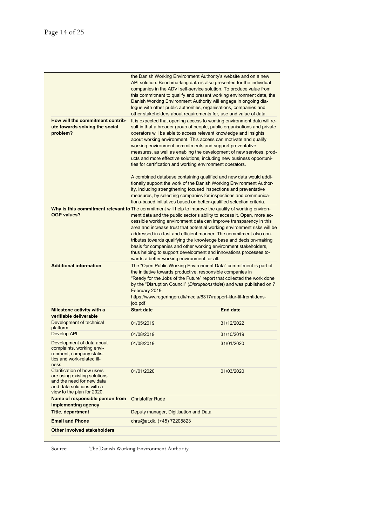Ē

| How will the commitment contrib-<br>ute towards solving the social                                                                                        | the Danish Working Environment Authority's website and on a new<br>API solution. Benchmarking data is also presented for the individual<br>companies in the ADVI self-service solution. To produce value from<br>this commitment to qualify and present working environment data, the<br>Danish Working Environment Authority will engage in ongoing dia-<br>logue with other public authorities, organisations, companies and<br>other stakeholders about requirements for, use and value of data.<br>It is expected that opening access to working environment data will re-<br>sult in that a broader group of people, public organisations and private            |                 |
|-----------------------------------------------------------------------------------------------------------------------------------------------------------|-----------------------------------------------------------------------------------------------------------------------------------------------------------------------------------------------------------------------------------------------------------------------------------------------------------------------------------------------------------------------------------------------------------------------------------------------------------------------------------------------------------------------------------------------------------------------------------------------------------------------------------------------------------------------|-----------------|
| problem?                                                                                                                                                  | operators will be able to access relevant knowledge and insights<br>about working environment. This access can motivate and qualify<br>working environment commitments and support preventative<br>measures, as well as enabling the development of new services, prod-<br>ucts and more effective solutions, including new business opportuni-<br>ties for certification and working environment operators.                                                                                                                                                                                                                                                          |                 |
|                                                                                                                                                           | A combined database containing qualified and new data would addi-<br>tionally support the work of the Danish Working Environment Author-<br>ity, including strengthening focused inspections and preventative<br>measures, by selecting companies for inspections and communica-<br>tions-based initiatives based on better-qualified selection criteria.                                                                                                                                                                                                                                                                                                             |                 |
| <b>OGP values?</b>                                                                                                                                        | Why is this commitment relevant to The commitment will help to improve the quality of working environ-<br>ment data and the public sector's ability to access it. Open, more ac-<br>cessible working environment data can improve transparency in this<br>area and increase trust that potential working environment risks will be<br>addressed in a fast and efficient manner. The commitment also con-<br>tributes towards qualifying the knowledge base and decision-making<br>basis for companies and other working environment stakeholders,<br>thus helping to support development and innovations processes to-<br>wards a better working environment for all. |                 |
| <b>Additional information</b>                                                                                                                             | The "Open Public Working Environment Data" commitment is part of<br>the initiative towards productive, responsible companies in<br>"Ready for the Jobs of the Future" report that collected the work done<br>by the "Disruption Council" (Disruptionsrådet) and was published on 7<br>February 2019.<br>https://www.regeringen.dk/media/6317/rapport-klar-til-fremtidens-                                                                                                                                                                                                                                                                                             |                 |
| Milestone activity with a                                                                                                                                 | job.pdf<br><b>Start date</b>                                                                                                                                                                                                                                                                                                                                                                                                                                                                                                                                                                                                                                          | <b>End date</b> |
| verifiable deliverable<br>Development of technical                                                                                                        |                                                                                                                                                                                                                                                                                                                                                                                                                                                                                                                                                                                                                                                                       |                 |
| platform                                                                                                                                                  | 01/05/2019                                                                                                                                                                                                                                                                                                                                                                                                                                                                                                                                                                                                                                                            | 31/12/2022      |
| <b>Develop API</b>                                                                                                                                        | 01/08/2019                                                                                                                                                                                                                                                                                                                                                                                                                                                                                                                                                                                                                                                            | 31/10/2019      |
| Development of data about<br>complaints, working envi-<br>ronment, company statis-<br>tics and work-related ill-<br>ness                                  | 01/08/2019                                                                                                                                                                                                                                                                                                                                                                                                                                                                                                                                                                                                                                                            | 31/01/2020      |
| <b>Clarification of how users</b><br>are using existing solutions<br>and the need for new data<br>and data solutions with a<br>view to the plan for 2020. | 01/01/2020                                                                                                                                                                                                                                                                                                                                                                                                                                                                                                                                                                                                                                                            | 01/03/2020      |
| Name of responsible person from<br>implementing agency                                                                                                    | <b>Christoffer Rude</b>                                                                                                                                                                                                                                                                                                                                                                                                                                                                                                                                                                                                                                               |                 |
| <b>Title, department</b>                                                                                                                                  | Deputy manager, Digitisation and Data                                                                                                                                                                                                                                                                                                                                                                                                                                                                                                                                                                                                                                 |                 |
| <b>Email and Phone</b>                                                                                                                                    | chru@at.dk, (+45) 72208823                                                                                                                                                                                                                                                                                                                                                                                                                                                                                                                                                                                                                                            |                 |
| Other involved stakeholders                                                                                                                               |                                                                                                                                                                                                                                                                                                                                                                                                                                                                                                                                                                                                                                                                       |                 |

Source: The Danish Working Environment Authority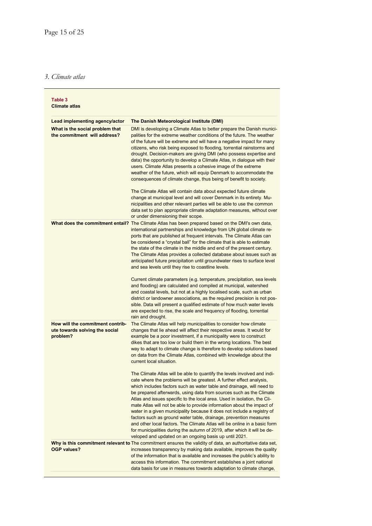# *3. Climate atlas*

| Table 3<br><b>Climate atlas</b>                                                |                                                                                                                                                                                                                                                                                                                                                                                                                                                                                                                                                                                                                                                                                                                                                                                                                           |
|--------------------------------------------------------------------------------|---------------------------------------------------------------------------------------------------------------------------------------------------------------------------------------------------------------------------------------------------------------------------------------------------------------------------------------------------------------------------------------------------------------------------------------------------------------------------------------------------------------------------------------------------------------------------------------------------------------------------------------------------------------------------------------------------------------------------------------------------------------------------------------------------------------------------|
| Lead implementing agency/actor                                                 | The Danish Meteorological Institute (DMI)                                                                                                                                                                                                                                                                                                                                                                                                                                                                                                                                                                                                                                                                                                                                                                                 |
| What is the social problem that<br>the commitment will address?                | DMI is developing a Climate Atlas to better prepare the Danish munici-<br>palities for the extreme weather conditions of the future. The weather<br>of the future will be extreme and will have a negative impact for many<br>citizens, who risk being exposed to flooding, torrential rainstorms and<br>drought. Decision-makers are giving DMI (who possess expertise and<br>data) the opportunity to develop a Climate Atlas, in dialogue with their<br>users. Climate Atlas presents a cohesive image of the extreme<br>weather of the future, which will equip Denmark to accommodate the<br>consequences of climate change, thus being of benefit to society.                                                                                                                                                       |
|                                                                                | The Climate Atlas will contain data about expected future climate<br>change at municipal level and will cover Denmark in its entirety. Mu-<br>nicipalities and other relevant parties will be able to use the common<br>data set to plan appropriate climate adaptation measures, without over<br>or under dimensioning their scope.                                                                                                                                                                                                                                                                                                                                                                                                                                                                                      |
|                                                                                | What does the commitment entail? The Climate Atlas has been prepared based on the DMI's own data,<br>international partnerships and knowledge from UN global climate re-<br>ports that are published at frequent intervals. The Climate Atlas can<br>be considered a "crystal ball" for the climate that is able to estimate<br>the state of the climate in the middle and end of the present century.<br>The Climate Atlas provides a collected database about issues such as<br>anticipated future precipitation until groundwater rises to surface level<br>and sea levels until they rise to coastline levels.                                                                                                                                                                                                        |
|                                                                                | Current climate parameters (e.g. temperature, precipitation, sea levels<br>and flooding) are calculated and compiled at municipal, watershed<br>and coastal levels, but not at a highly localised scale, such as urban<br>district or landowner associations, as the required precision is not pos-<br>sible. Data will present a qualified estimate of how much water levels<br>are expected to rise, the scale and frequency of flooding, torrential<br>rain and drought.                                                                                                                                                                                                                                                                                                                                               |
| How will the commitment contrib-<br>ute towards solving the social<br>problem? | The Climate Atlas will help municipalities to consider how climate<br>changes that lie ahead will affect their respective areas. It would for<br>example be a poor investment, if a municipality were to construct<br>dikes that are too low or build them in the wrong locations. The best<br>way to adapt to climate change is therefore to develop solutions based<br>on data from the Climate Atlas, combined with knowledge about the<br>current local situation.                                                                                                                                                                                                                                                                                                                                                    |
|                                                                                | The Climate Atlas will be able to quantify the levels involved and indi-<br>cate where the problems will be greatest. A further effect analysis,<br>which includes factors such as water table and drainage, will need to<br>be prepared afterwards, using data from sources such as the Climate<br>Atlas and issues specific to the local area. Used in isolation, the Cli-<br>mate Atlas will not be able to provide information about the impact of<br>water in a given municipality because it does not include a registry of<br>factors such as ground water table, drainage, prevention measures<br>and other local factors. The Climate Atlas will be online in a basic form<br>for municipalities during the autumn of 2019, after which it will be de-<br>veloped and updated on an ongoing basis up until 2021. |
| <b>OGP values?</b>                                                             | Why is this commitment relevant to The commitment ensures the validity of data, an authoritative data set,<br>increases transparency by making data available, improves the quality<br>of the information that is available and increases the public's ability to<br>access this information. The commitment establishes a joint national<br>data basis for use in measures towards adaptation to climate change,                                                                                                                                                                                                                                                                                                                                                                                                         |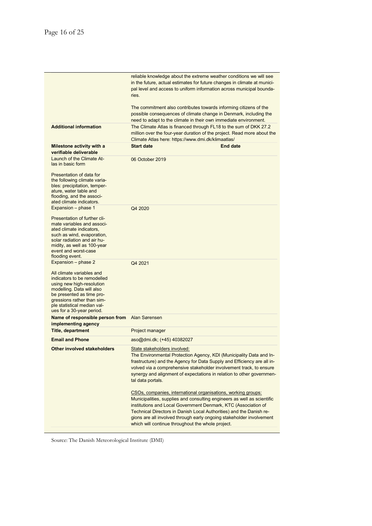|                                                                                                                                                                                                                                                                  | reliable knowledge about the extreme weather conditions we will see<br>in the future, actual estimates for future changes in climate at munici-<br>pal level and access to uniform information across municipal bounda-<br>ries.<br>The commitment also contributes towards informing citizens of the<br>possible consequences of climate change in Denmark, including the |                                                                                                                                                                                                                                                                                                                                                           |
|------------------------------------------------------------------------------------------------------------------------------------------------------------------------------------------------------------------------------------------------------------------|----------------------------------------------------------------------------------------------------------------------------------------------------------------------------------------------------------------------------------------------------------------------------------------------------------------------------------------------------------------------------|-----------------------------------------------------------------------------------------------------------------------------------------------------------------------------------------------------------------------------------------------------------------------------------------------------------------------------------------------------------|
|                                                                                                                                                                                                                                                                  |                                                                                                                                                                                                                                                                                                                                                                            |                                                                                                                                                                                                                                                                                                                                                           |
| <b>Additional information</b>                                                                                                                                                                                                                                    | need to adapt to the climate in their own immediate environment.<br>The Climate Atlas is financed through FL18 to the sum of DKK 27.2<br>million over the four-year duration of the project. Read more about the<br>Climate Atlas here: https://www.dmi.dk/klimaatlas/                                                                                                     |                                                                                                                                                                                                                                                                                                                                                           |
| Milestone activity with a<br>verifiable deliverable                                                                                                                                                                                                              | <b>Start date</b>                                                                                                                                                                                                                                                                                                                                                          | <b>End date</b>                                                                                                                                                                                                                                                                                                                                           |
| Launch of the Climate At-<br>las in basic form                                                                                                                                                                                                                   | 06 October 2019                                                                                                                                                                                                                                                                                                                                                            |                                                                                                                                                                                                                                                                                                                                                           |
| Presentation of data for<br>the following climate varia-<br>bles: precipitation, temper-<br>ature, water table and<br>flooding, and the associ-<br>ated climate indicators.                                                                                      |                                                                                                                                                                                                                                                                                                                                                                            |                                                                                                                                                                                                                                                                                                                                                           |
| Expansion - phase 1<br>Presentation of further cli-<br>mate variables and associ-<br>ated climate indicators,<br>such as wind, evaporation,<br>solar radiation and air hu-<br>midity, as well as 100-year<br>event and worst-case<br>flooding event.             | Q4 2020                                                                                                                                                                                                                                                                                                                                                                    |                                                                                                                                                                                                                                                                                                                                                           |
| Expansion - phase 2<br>All climate variables and<br>indicators to be remodelled<br>using new high-resolution<br>modelling. Data will also<br>be presented as time pro-<br>gressions rather than sim-<br>ple statistical median val-<br>ues for a 30-year period. | Q4 2021                                                                                                                                                                                                                                                                                                                                                                    |                                                                                                                                                                                                                                                                                                                                                           |
| Name of responsible person from Alan Sørensen<br>implementing agency                                                                                                                                                                                             |                                                                                                                                                                                                                                                                                                                                                                            |                                                                                                                                                                                                                                                                                                                                                           |
| <b>Title, department</b>                                                                                                                                                                                                                                         | Project manager                                                                                                                                                                                                                                                                                                                                                            |                                                                                                                                                                                                                                                                                                                                                           |
| <b>Email and Phone</b>                                                                                                                                                                                                                                           | aso@dmi.dk; (+45) 40382027                                                                                                                                                                                                                                                                                                                                                 |                                                                                                                                                                                                                                                                                                                                                           |
| Other involved stakeholders                                                                                                                                                                                                                                      | State stakeholders involved:<br>tal data portals.                                                                                                                                                                                                                                                                                                                          | The Environmental Protection Agency, KDI (Municipality Data and In-<br>frastructure) and the Agency for Data Supply and Efficiency are all in-<br>volved via a comprehensive stakeholder involvement track, to ensure<br>synergy and alignment of expectations in relation to other governmen-                                                            |
|                                                                                                                                                                                                                                                                  | which will continue throughout the whole project.                                                                                                                                                                                                                                                                                                                          | CSOs, companies, international organisations, working groups:<br>Municipalities, supplies and consulting engineers as well as scientific<br>institutions and Local Government Denmark, KTC (Association of<br>Technical Directors in Danish Local Authorities) and the Danish re-<br>gions are all involved through early ongoing stakeholder involvement |
|                                                                                                                                                                                                                                                                  |                                                                                                                                                                                                                                                                                                                                                                            |                                                                                                                                                                                                                                                                                                                                                           |

Source: The Danish Meteorological Institute (DMI)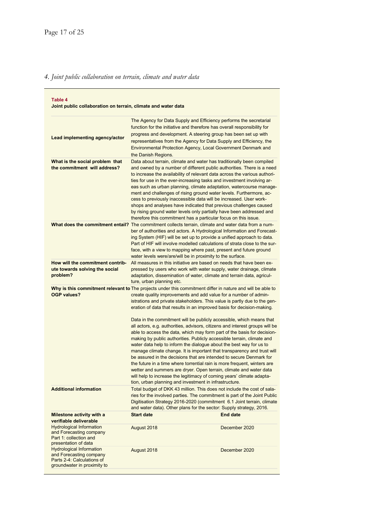# *4. Joint public collaboration on terrain, climate and water data*

| Table 4<br>Joint public collaboration on terrain, climate and water data                                                |                                                                                                                                                                                                                                                                                                                                                                                                                                                                                                                                                                                                                                                                                                                                                                                                                                                                                                                                                                                                                                                                                                                                                                  |                 |
|-------------------------------------------------------------------------------------------------------------------------|------------------------------------------------------------------------------------------------------------------------------------------------------------------------------------------------------------------------------------------------------------------------------------------------------------------------------------------------------------------------------------------------------------------------------------------------------------------------------------------------------------------------------------------------------------------------------------------------------------------------------------------------------------------------------------------------------------------------------------------------------------------------------------------------------------------------------------------------------------------------------------------------------------------------------------------------------------------------------------------------------------------------------------------------------------------------------------------------------------------------------------------------------------------|-----------------|
| Lead implementing agency/actor                                                                                          | The Agency for Data Supply and Efficiency performs the secretarial<br>function for the initiative and therefore has overall responsibility for<br>progress and development. A steering group has been set up with<br>representatives from the Agency for Data Supply and Efficiency, the<br><b>Environmental Protection Agency, Local Government Denmark and</b><br>the Danish Regions.                                                                                                                                                                                                                                                                                                                                                                                                                                                                                                                                                                                                                                                                                                                                                                          |                 |
| What is the social problem that<br>the commitment will address?                                                         | Data about terrain, climate and water has traditionally been compiled<br>and owned by a number of different public authorities. There is a need<br>to increase the availability of relevant data across the various authori-<br>ties for use in the ever-increasing tasks and investment involving ar-<br>eas such as urban planning, climate adaptation, watercourse manage-<br>ment and challenges of rising ground water levels. Furthermore, ac-<br>cess to previously inaccessible data will be increased. User work-<br>shops and analyses have indicated that previous challenges caused<br>by rising ground water levels only partially have been addressed and<br>therefore this commitment has a particular focus on this issue.                                                                                                                                                                                                                                                                                                                                                                                                                       |                 |
|                                                                                                                         | What does the commitment entail? The commitment collects terrain, climate and water data from a num-<br>ber of authorities and actors. A Hydrological Information and Forecast-<br>ing System (HIF) will be set up to provide a unified approach to data.<br>Part of HIF will involve modelled calculations of strata close to the sur-<br>face, with a view to mapping where past, present and future ground<br>water levels were/are/will be in proximity to the surface.                                                                                                                                                                                                                                                                                                                                                                                                                                                                                                                                                                                                                                                                                      |                 |
| How will the commitment contrib-<br>ute towards solving the social<br>problem?                                          | All measures in this initiative are based on needs that have been ex-<br>pressed by users who work with water supply, water drainage, climate<br>adaptation, dissemination of water, climate and terrain data, agricul-<br>ture, urban planning etc.                                                                                                                                                                                                                                                                                                                                                                                                                                                                                                                                                                                                                                                                                                                                                                                                                                                                                                             |                 |
| <b>OGP values?</b><br><b>Additional information</b>                                                                     | Why is this commitment relevant to The projects under this commitment differ in nature and will be able to<br>create quality improvements and add value for a number of admin-<br>istrations and private stakeholders. This value is partly due to the gen-<br>eration of data that results in an improved basis for decision-making.<br>Data in the commitment will be publicly accessible, which means that<br>all actors, e.g. authorities, advisors, citizens and interest groups will be<br>able to access the data, which may form part of the basis for decision-<br>making by public authorities. Publicly accessible terrain, climate and<br>water data help to inform the dialogue about the best way for us to<br>manage climate change. It is important that transparency and trust will<br>be assured in the decisions that are intended to secure Denmark for<br>the future in a time where torrential rain is more frequent, winters are<br>wetter and summers are dryer. Open terrain, climate and water data<br>will help to increase the legitimacy of coming years' climate adapta-<br>tion, urban planning and investment in infrastructure. |                 |
|                                                                                                                         | Total budget of DKK 43 million. This does not include the cost of sala-<br>ries for the involved parties. The commitment is part of the Joint Public<br>Digitisation Strategy 2016-2020 (commitment 6.1 Joint terrain, climate<br>and water data). Other plans for the sector: Supply strategy, 2016.                                                                                                                                                                                                                                                                                                                                                                                                                                                                                                                                                                                                                                                                                                                                                                                                                                                            |                 |
| Milestone activity with a<br>verifiable deliverable                                                                     | <b>Start date</b>                                                                                                                                                                                                                                                                                                                                                                                                                                                                                                                                                                                                                                                                                                                                                                                                                                                                                                                                                                                                                                                                                                                                                | <b>End date</b> |
| <b>Hydrological Information</b><br>and Forecasting company<br>Part 1: collection and<br>presentation of data            | August 2018                                                                                                                                                                                                                                                                                                                                                                                                                                                                                                                                                                                                                                                                                                                                                                                                                                                                                                                                                                                                                                                                                                                                                      | December 2020   |
| <b>Hydrological Information</b><br>and Forecasting company<br>Parts 2-4: Calculations of<br>groundwater in proximity to | August 2018                                                                                                                                                                                                                                                                                                                                                                                                                                                                                                                                                                                                                                                                                                                                                                                                                                                                                                                                                                                                                                                                                                                                                      | December 2020   |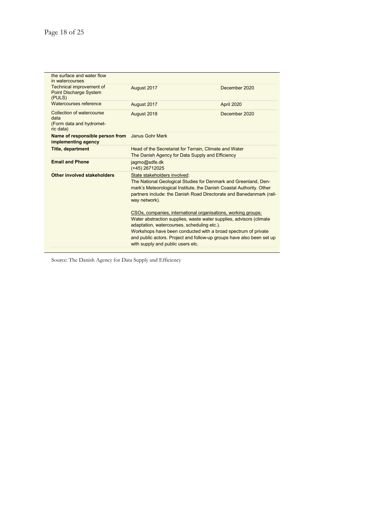Ë

| the surface and water flow<br>in watercourses                              |                                                                                                                                                                                                                                                                                                                                                                                                                                                                                                                           |                   |
|----------------------------------------------------------------------------|---------------------------------------------------------------------------------------------------------------------------------------------------------------------------------------------------------------------------------------------------------------------------------------------------------------------------------------------------------------------------------------------------------------------------------------------------------------------------------------------------------------------------|-------------------|
| Technical improvement of<br><b>Point Discharge System</b><br>(PULS)        | August 2017                                                                                                                                                                                                                                                                                                                                                                                                                                                                                                               | December 2020     |
| Watercourses reference                                                     | August 2017                                                                                                                                                                                                                                                                                                                                                                                                                                                                                                               | <b>April 2020</b> |
| Collection of watercourse<br>data<br>(Form data and hydromet-<br>ric data) | August 2018                                                                                                                                                                                                                                                                                                                                                                                                                                                                                                               | December 2020     |
| Name of responsible person from<br>implementing agency                     | Janus Gohr Mørk                                                                                                                                                                                                                                                                                                                                                                                                                                                                                                           |                   |
| <b>Title, department</b>                                                   | Head of the Secretariat for Terrain, Climate and Water<br>The Danish Agency for Data Supply and Efficiency                                                                                                                                                                                                                                                                                                                                                                                                                |                   |
| <b>Email and Phone</b>                                                     | jagmo@sdfe.dk<br>$(+45)$ 26712025                                                                                                                                                                                                                                                                                                                                                                                                                                                                                         |                   |
| Other involved stakeholders                                                | State stakeholders involved:<br>The National Geological Studies for Denmark and Greenland, Den-<br>mark's Meteorological Institute, the Danish Coastal Authority. Other<br>partners include: the Danish Road Directorate and Banedanmark (rail-<br>way network).<br>CSOs, companies, international organisations, working groups:<br>Water abstraction supplies, waste water supplies, advisors (climate<br>adaptation, watercourses, scheduling etc.).<br>Workshops have been conducted with a broad spectrum of private |                   |
|                                                                            | and public actors. Project and follow-up groups have also been set up<br>with supply and public users etc.                                                                                                                                                                                                                                                                                                                                                                                                                |                   |

Source: The Danish Agency for Data Supply and Efficiency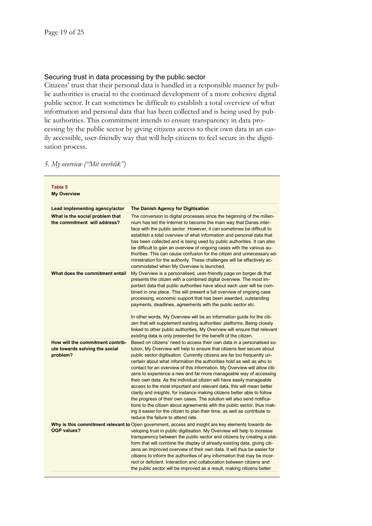### Securing trust in data processing by the public sector

Citizens' trust that their personal data is handled in a responsible manner by public authorities is crucial to the continued development of a more cohesive digital public sector. It can sometimes be difficult to establish a total overview of what information and personal data that has been collected and is being used by public authorities. This commitment intends to ensure transparency in data processing by the public sector by giving citizens access to their own data in an easily accessible, user-friendly way that will help citizens to feel secure in the digitisation process.

|  |  |  |  | 5. My overview ("Mit overblik") |
|--|--|--|--|---------------------------------|
|--|--|--|--|---------------------------------|

| Table 5<br><b>My Overview</b>                                                  |                                                                                                                                                                                                                                                                                                                                                                                                                                                                                                                                                                                                                                                                                                                                                                                                                                                                                                                                                                  |
|--------------------------------------------------------------------------------|------------------------------------------------------------------------------------------------------------------------------------------------------------------------------------------------------------------------------------------------------------------------------------------------------------------------------------------------------------------------------------------------------------------------------------------------------------------------------------------------------------------------------------------------------------------------------------------------------------------------------------------------------------------------------------------------------------------------------------------------------------------------------------------------------------------------------------------------------------------------------------------------------------------------------------------------------------------|
| Lead implementing agency/actor                                                 | The Danish Agency for Digitisation                                                                                                                                                                                                                                                                                                                                                                                                                                                                                                                                                                                                                                                                                                                                                                                                                                                                                                                               |
| What is the social problem that<br>the commitment will address?                | The conversion to digital processes since the beginning of the millen-<br>nium has led the Internet to become the main way that Danes inter-<br>face with the public sector. However, it can sometimes be difficult to<br>establish a total overview of what information and personal data that<br>has been collected and is being used by public authorities. It can also<br>be difficult to gain an overview of ongoing cases with the various au-<br>thorities. This can cause confusion for the citizen and unnecessary ad-<br>ministration for the authority. These challenges will be effectively ac-<br>commodated when My Overview is launched.                                                                                                                                                                                                                                                                                                          |
| What does the commitment entail                                                | My Overview is a personalised, user-friendly page on borger.dk that<br>presents the citizen with a combined digital overview. The most im-<br>portant data that public authorities have about each user will be com-<br>bined in one place. This will present a full overview of ongoing case<br>processing, economic support that has been awarded, outstanding<br>payments, deadlines, agreements with the public sector etc.<br>In other words, My Overview will be an information guide for the citi-<br>zen that will supplement existing authorities' platforms. Being closely<br>linked to other public authorities, My Overview will ensure that relevant<br>existing data is only presented for the benefit of the citizen.                                                                                                                                                                                                                             |
| How will the commitment contrib-<br>ute towards solving the social<br>problem? | Based on citizens' need to access their own data in a personalised so-<br>lution, My Overview will help to ensure that citizens feel secure about<br>public sector digitisation. Currently citizens are far too frequently un-<br>certain about what information the authorities hold as well as who to<br>contact for an overview of this information. My Overview will allow citi-<br>zens to experience a new and far more manageable way of accessing<br>their own data. As the individual citizen will have easily manageable<br>access to the most important and relevant data, this will mean better<br>clarity and insights, for instance making citizens better able to follow<br>the progress of their own cases. The solution will also send notifica-<br>tions to the citizen about agreements with the public sector, thus mak-<br>ing it easier for the citizen to plan their time, as well as contribute to<br>reduce the failure to attend rate. |
| OGP values?                                                                    | Why is this commitment relevant to Open government, access and insight are key elements towards de-<br>veloping trust in public digitisation. My Overview will help to increase<br>transparency between the public sector and citizens by creating a plat-<br>form that will combine the display of already existing data, giving citi-<br>zens an improved overview of their own data. It will thus be easier for<br>citizens to inform the authorities of any information that may be incor-<br>rect or deficient. Interaction and collaboration between citizens and<br>the public sector will be improved as a result, making citizens better                                                                                                                                                                                                                                                                                                                |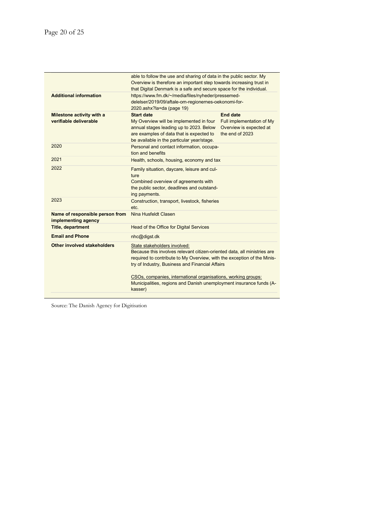|                                                        | able to follow the use and sharing of data in the public sector. My<br>Overview is therefore an important step towards increasing trust in<br>that Digital Denmark is a safe and secure space for the individual.                      |                                                                                     |
|--------------------------------------------------------|----------------------------------------------------------------------------------------------------------------------------------------------------------------------------------------------------------------------------------------|-------------------------------------------------------------------------------------|
| <b>Additional information</b>                          | https://www.fm.dk/~/media/files/nyheder/pressemed-<br>delelser/2019/09/aftale-om-regionernes-oekonomi-for-<br>2020.ashx?la=da (page 19)                                                                                                |                                                                                     |
| Milestone activity with a<br>verifiable deliverable    | <b>Start date</b><br>My Overview will be implemented in four<br>annual stages leading up to 2023. Below<br>are examples of data that is expected to<br>be available in the particular year/stage.                                      | End date<br>Full implementation of My<br>Overview is expected at<br>the end of 2023 |
| 2020                                                   | Personal and contact information, occupa-<br>tion and benefits                                                                                                                                                                         |                                                                                     |
| 2021                                                   | Health, schools, housing, economy and tax                                                                                                                                                                                              |                                                                                     |
| 2022                                                   | Family situation, daycare, leisure and cul-<br>ture<br>Combined overview of agreements with<br>the public sector, deadlines and outstand-<br>ing payments.                                                                             |                                                                                     |
| 2023                                                   | Construction, transport, livestock, fisheries<br>etc.                                                                                                                                                                                  |                                                                                     |
| Name of responsible person from<br>implementing agency | Nina Husfeldt Clasen                                                                                                                                                                                                                   |                                                                                     |
| <b>Title, department</b>                               | Head of the Office for Digital Services                                                                                                                                                                                                |                                                                                     |
| <b>Email and Phone</b>                                 | nhc@digst.dk                                                                                                                                                                                                                           |                                                                                     |
| Other involved stakeholders                            | State stakeholders involved:<br>Because this involves relevant citizen-oriented data, all ministries are<br>required to contribute to My Overview, with the exception of the Minis-<br>try of Industry, Business and Financial Affairs |                                                                                     |
|                                                        | CSOs, companies, international organisations, working groups:<br>Municipalities, regions and Danish unemployment insurance funds (A-<br>kasser)                                                                                        |                                                                                     |

Source: The Danish Agency for Digitisation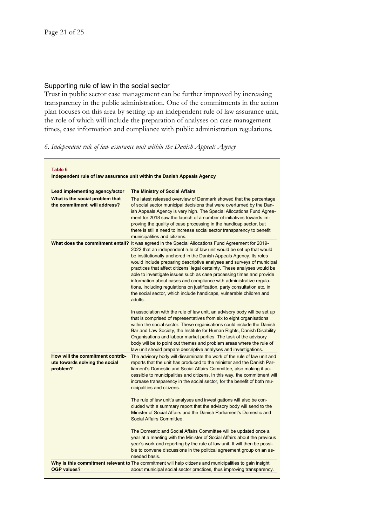#### Supporting rule of law in the social sector

Trust in public sector case management can be further improved by increasing transparency in the public administration. One of the commitments in the action plan focuses on this area by setting up an independent rule of law assurance unit, the role of which will include the preparation of analyses on case management times, case information and compliance with public administration regulations.

#### *6. Independent rule of law assurance unit within the Danish Appeals Agency*

| Table 6<br>Independent rule of law assurance unit within the Danish Appeals Agency |                                                                                                                                                                                                                                                                                                                                                                                                                                                                                                                                                                                                                                                                                                                     |  |
|------------------------------------------------------------------------------------|---------------------------------------------------------------------------------------------------------------------------------------------------------------------------------------------------------------------------------------------------------------------------------------------------------------------------------------------------------------------------------------------------------------------------------------------------------------------------------------------------------------------------------------------------------------------------------------------------------------------------------------------------------------------------------------------------------------------|--|
| Lead implementing agency/actor                                                     | <b>The Ministry of Social Affairs</b>                                                                                                                                                                                                                                                                                                                                                                                                                                                                                                                                                                                                                                                                               |  |
| What is the social problem that<br>the commitment will address?                    | The latest released overview of Denmark showed that the percentage<br>of social sector municipal decisions that were overturned by the Dan-<br>ish Appeals Agency is very high. The Special Allocations Fund Agree-<br>ment for 2018 saw the launch of a number of initiatives towards im-<br>proving the quality of case processing in the handicap sector, but<br>there is still a need to increase social sector transparency to benefit<br>municipalities and citizens.                                                                                                                                                                                                                                         |  |
|                                                                                    | What does the commitment entail? It was agreed in the Special Allocations Fund Agreement for 2019-<br>2022 that an independent rule of law unit would be set up that would<br>be institutionally anchored in the Danish Appeals Agency. Its roles<br>would include preparing descriptive analyses and surveys of municipal<br>practices that affect citizens' legal certainty. These analyses would be<br>able to investigate issues such as case processing times and provide<br>information about cases and compliance with administrative regula-<br>tions, including regulations on justification, party consultation etc. in<br>the social sector, which include handicaps, vulnerable children and<br>adults. |  |
|                                                                                    | In association with the rule of law unit, an advisory body will be set up<br>that is comprised of representatives from six to eight organisations<br>within the social sector. These organisations could include the Danish<br>Bar and Law Society, the Institute for Human Rights, Danish Disability<br>Organisations and labour market parties. The task of the advisory<br>body will be to point out themes and problem areas where the rule of<br>law unit should prepare descriptive analyses and investigations.                                                                                                                                                                                              |  |
| How will the commitment contrib-<br>ute towards solving the social<br>problem?     | The advisory body will disseminate the work of the rule of law unit and<br>reports that the unit has produced to the minister and the Danish Par-<br>liament's Domestic and Social Affairs Committee, also making it ac-<br>cessible to municipalities and citizens. In this way, the commitment will<br>increase transparency in the social sector, for the benefit of both mu-<br>nicipalities and citizens.                                                                                                                                                                                                                                                                                                      |  |
|                                                                                    | The rule of law unit's analyses and investigations will also be con-<br>cluded with a summary report that the advisory body will send to the<br>Minister of Social Affairs and the Danish Parliament's Domestic and<br>Social Affairs Committee.                                                                                                                                                                                                                                                                                                                                                                                                                                                                    |  |
|                                                                                    | The Domestic and Social Affairs Committee will be updated once a<br>year at a meeting with the Minister of Social Affairs about the previous<br>year's work and reporting by the rule of law unit. It will then be possi-<br>ble to convene discussions in the political agreement group on an as-<br>needed basis.                                                                                                                                                                                                                                                                                                                                                                                                 |  |
| OGP values?                                                                        | Why is this commitment relevant to The commitment will help citizens and municipalities to gain insight<br>about municipal social sector practices, thus improving transparency.                                                                                                                                                                                                                                                                                                                                                                                                                                                                                                                                    |  |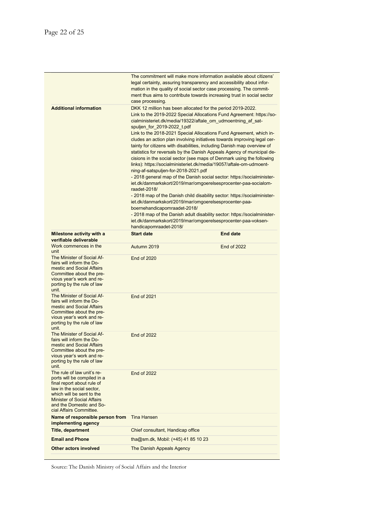|                                                                                                                                                                                                                                               | case processing.                                                                                                                              | The commitment will make more information available about citizens'<br>legal certainty, assuring transparency and accessibility about infor-<br>mation in the quality of social sector case processing. The commit-<br>ment thus aims to contribute towards increasing trust in social sector                                                                                                                                                                                                                                                                                                                                                                                                                                                                                                                                                                                                                                                                                                                                                                                                   |
|-----------------------------------------------------------------------------------------------------------------------------------------------------------------------------------------------------------------------------------------------|-----------------------------------------------------------------------------------------------------------------------------------------------|-------------------------------------------------------------------------------------------------------------------------------------------------------------------------------------------------------------------------------------------------------------------------------------------------------------------------------------------------------------------------------------------------------------------------------------------------------------------------------------------------------------------------------------------------------------------------------------------------------------------------------------------------------------------------------------------------------------------------------------------------------------------------------------------------------------------------------------------------------------------------------------------------------------------------------------------------------------------------------------------------------------------------------------------------------------------------------------------------|
| <b>Additional information</b>                                                                                                                                                                                                                 | spuljen for 2019-2022 t.pdf<br>ning-af-satspuljen-for-2018-2021.pdf<br>raadet-2018/<br>boernehandicapomraadet-2018/<br>handicapomraadet-2018/ | DKK 12 million has been allocated for the period 2019-2022.<br>Link to the 2019-2022 Special Allocations Fund Agreement: https://so-<br>cialministeriet.dk/media/19322/aftale_om_udmoentning_af_sat-<br>Link to the 2018-2021 Special Allocations Fund Agreement, which in-<br>cludes an action plan involving initiatives towards improving legal cer-<br>tainty for citizens with disabilities, including Danish map overview of<br>statistics for reversals by the Danish Appeals Agency of municipal de-<br>cisions in the social sector (see maps of Denmark using the following<br>links): https://socialministeriet.dk/media/19057/aftale-om-udmoent-<br>- 2018 general map of the Danish social sector: https://socialminister-<br>iet.dk/danmarkskort/2019/mar/omgoerelsesprocenter-paa-socialom-<br>- 2018 map of the Danish child disability sector: https://socialminister-<br>iet.dk/danmarkskort/2019/mar/omgoerelsesprocenter-paa-<br>- 2018 map of the Danish adult disability sector: https://socialminister-<br>iet.dk/danmarkskort/2019/mar/omgoerelsesprocenter-paa-voksen- |
| Milestone activity with a<br>verifiable deliverable                                                                                                                                                                                           | <b>Start date</b>                                                                                                                             | <b>End date</b>                                                                                                                                                                                                                                                                                                                                                                                                                                                                                                                                                                                                                                                                                                                                                                                                                                                                                                                                                                                                                                                                                 |
| Work commences in the<br>unit                                                                                                                                                                                                                 | Autumn 2019                                                                                                                                   | <b>End of 2022</b>                                                                                                                                                                                                                                                                                                                                                                                                                                                                                                                                                                                                                                                                                                                                                                                                                                                                                                                                                                                                                                                                              |
| The Minister of Social Af-<br>fairs will inform the Do-<br>mestic and Social Affairs<br>Committee about the pre-<br>vious year's work and re-<br>porting by the rule of law<br>unit.                                                          | <b>End of 2020</b>                                                                                                                            |                                                                                                                                                                                                                                                                                                                                                                                                                                                                                                                                                                                                                                                                                                                                                                                                                                                                                                                                                                                                                                                                                                 |
| The Minister of Social Af-<br>fairs will inform the Do-<br>mestic and Social Affairs<br>Committee about the pre-<br>vious year's work and re-<br>porting by the rule of law<br>unit.                                                          | <b>End of 2021</b>                                                                                                                            |                                                                                                                                                                                                                                                                                                                                                                                                                                                                                                                                                                                                                                                                                                                                                                                                                                                                                                                                                                                                                                                                                                 |
| The Minister of Social Af-<br>fairs will inform the Do-<br>mestic and Social Affairs<br>Committee about the pre-<br>vious year's work and re-<br>porting by the rule of law<br>unit.                                                          | <b>End of 2022</b>                                                                                                                            |                                                                                                                                                                                                                                                                                                                                                                                                                                                                                                                                                                                                                                                                                                                                                                                                                                                                                                                                                                                                                                                                                                 |
| The rule of law unit's re-<br>ports will be compiled in a<br>final report about rule of<br>law in the social sector.<br>which will be sent to the<br><b>Minister of Social Affairs</b><br>and the Domestic and So-<br>cial Affairs Committee. | <b>End of 2022</b>                                                                                                                            |                                                                                                                                                                                                                                                                                                                                                                                                                                                                                                                                                                                                                                                                                                                                                                                                                                                                                                                                                                                                                                                                                                 |
| Name of responsible person from<br>implementing agency                                                                                                                                                                                        | <b>Tina Hansen</b>                                                                                                                            |                                                                                                                                                                                                                                                                                                                                                                                                                                                                                                                                                                                                                                                                                                                                                                                                                                                                                                                                                                                                                                                                                                 |
| <b>Title, department</b>                                                                                                                                                                                                                      | Chief consultant, Handicap office                                                                                                             |                                                                                                                                                                                                                                                                                                                                                                                                                                                                                                                                                                                                                                                                                                                                                                                                                                                                                                                                                                                                                                                                                                 |
| <b>Email and Phone</b>                                                                                                                                                                                                                        | tha@sm.dk, Mobil: (+45) 41 85 10 23                                                                                                           |                                                                                                                                                                                                                                                                                                                                                                                                                                                                                                                                                                                                                                                                                                                                                                                                                                                                                                                                                                                                                                                                                                 |
| Other actors involved                                                                                                                                                                                                                         | The Danish Appeals Agency                                                                                                                     |                                                                                                                                                                                                                                                                                                                                                                                                                                                                                                                                                                                                                                                                                                                                                                                                                                                                                                                                                                                                                                                                                                 |
|                                                                                                                                                                                                                                               |                                                                                                                                               |                                                                                                                                                                                                                                                                                                                                                                                                                                                                                                                                                                                                                                                                                                                                                                                                                                                                                                                                                                                                                                                                                                 |

Source: The Danish Ministry of Social Affairs and the Interior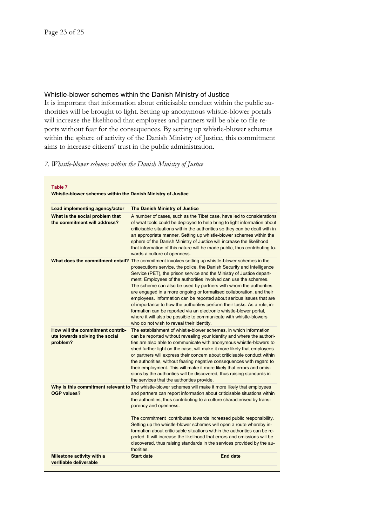### Whistle-blower schemes within the Danish Ministry of Justice

It is important that information about criticisable conduct within the public authorities will be brought to light. Setting up anonymous whistle-blower portals will increase the likelihood that employees and partners will be able to file reports without fear for the consequences. By setting up whistle-blower schemes within the sphere of activity of the Danish Ministry of Justice, this commitment aims to increase citizens' trust in the public administration.

### *7. Whistle-blower schemes within the Danish Ministry of Justice*

| Table 7<br>Whistle-blower schemes within the Danish Ministry of Justice                               |                                                                                                                                                                                                                                                                                                                                                                                                                                                                                                                                                                                                                                                                                                                                                                                                                    |  |  |
|-------------------------------------------------------------------------------------------------------|--------------------------------------------------------------------------------------------------------------------------------------------------------------------------------------------------------------------------------------------------------------------------------------------------------------------------------------------------------------------------------------------------------------------------------------------------------------------------------------------------------------------------------------------------------------------------------------------------------------------------------------------------------------------------------------------------------------------------------------------------------------------------------------------------------------------|--|--|
| Lead implementing agency/actor                                                                        | <b>The Danish Ministry of Justice</b>                                                                                                                                                                                                                                                                                                                                                                                                                                                                                                                                                                                                                                                                                                                                                                              |  |  |
| What is the social problem that<br>the commitment will address?                                       | A number of cases, such as the Tibet case, have led to considerations<br>of what tools could be deployed to help bring to light information about<br>criticisable situations within the authorities so they can be dealt with in<br>an appropriate manner. Setting up whistle-blower schemes within the<br>sphere of the Danish Ministry of Justice will increase the likelihood<br>that information of this nature will be made public, thus contributing to-<br>wards a culture of openness.                                                                                                                                                                                                                                                                                                                     |  |  |
|                                                                                                       | What does the commitment entail? The commitment involves setting up whistle-blower schemes in the<br>prosecutions service, the police, the Danish Security and Intelligence<br>Service (PET), the prison service and the Ministry of Justice depart-<br>ment. Employees of the authorities involved can use the schemes.<br>The scheme can also be used by partners with whom the authorities<br>are engaged in a more ongoing or formalised collaboration, and their<br>employees. Information can be reported about serious issues that are<br>of importance to how the authorities perform their tasks. As a rule, in-<br>formation can be reported via an electronic whistle-blower portal,<br>where it will also be possible to communicate with whistle-blowers<br>who do not wish to reveal their identity. |  |  |
| How will the commitment contrib-<br>ute towards solving the social<br>problem?                        | The establishment of whistle-blower schemes, in which information<br>can be reported without revealing your identity and where the authori-<br>ties are also able to communicate with anonymous whistle-blowers to<br>shed further light on the case, will make it more likely that employees<br>or partners will express their concern about criticisable conduct within<br>the authorities, without fearing negative consequences with regard to<br>their employment. This will make it more likely that errors and omis-<br>sions by the authorities will be discovered, thus raising standards in<br>the services that the authorities provide.                                                                                                                                                                |  |  |
| Why is this commitment relevant to The whistle-blower schemes will make it more likely that employees |                                                                                                                                                                                                                                                                                                                                                                                                                                                                                                                                                                                                                                                                                                                                                                                                                    |  |  |
| <b>OGP values?</b>                                                                                    | and partners can report information about criticisable situations within<br>the authorities, thus contributing to a culture characterised by trans-<br>parency and openness.<br>The commitment contributes towards increased public responsibility.<br>Setting up the whistle-blower schemes will open a route whereby in-<br>formation about criticisable situations within the authorities can be re-<br>ported. It will increase the likelihood that errors and omissions will be<br>discovered, thus raising standards in the services provided by the au-                                                                                                                                                                                                                                                     |  |  |
|                                                                                                       | thorities.                                                                                                                                                                                                                                                                                                                                                                                                                                                                                                                                                                                                                                                                                                                                                                                                         |  |  |
| Milestone activity with a<br>verifiable deliverable                                                   | <b>Start date</b><br>End date                                                                                                                                                                                                                                                                                                                                                                                                                                                                                                                                                                                                                                                                                                                                                                                      |  |  |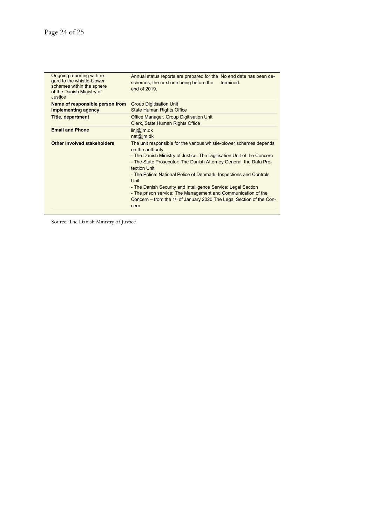| Ongoing reporting with re-<br>gard to the whistle-blower<br>schemes within the sphere<br>of the Danish Ministry of<br>Justice. | Annual status reports are prepared for the No end date has been de-<br>schemes, the next one being before the termined.<br>end of $2019$                                                                                                                                                                                                                                                                                                                                                                                                          |
|--------------------------------------------------------------------------------------------------------------------------------|---------------------------------------------------------------------------------------------------------------------------------------------------------------------------------------------------------------------------------------------------------------------------------------------------------------------------------------------------------------------------------------------------------------------------------------------------------------------------------------------------------------------------------------------------|
| Name of responsible person from<br>implementing agency                                                                         | <b>Group Digitisation Unit</b><br><b>State Human Rights Office</b>                                                                                                                                                                                                                                                                                                                                                                                                                                                                                |
| <b>Title, department</b>                                                                                                       |                                                                                                                                                                                                                                                                                                                                                                                                                                                                                                                                                   |
| <b>Email and Phone</b>                                                                                                         | Koncerndigitalisering@jm.dk<br>statsogmenneskeretskontoret@jm.dk                                                                                                                                                                                                                                                                                                                                                                                                                                                                                  |
| Other involved stakeholders                                                                                                    | The unit responsible for the various whistle-blower schemes depends<br>on the authority.<br>- The Danish Ministry of Justice: The Digitisation Unit of the Concern<br>- The State Prosecutor: The Danish Attorney General, the Data Pro-<br>tection Unit<br>- The Police: National Police of Denmark, Inspections and Controls<br>Unit<br>- The Danish Security and Intelligence Service: Legal Section<br>- The Prison Service: The Management and Communication of the<br>Concern – from the 1 <sup>st</sup> of January 2020 The Legal Division |

Source: The Danish Ministry of Justice